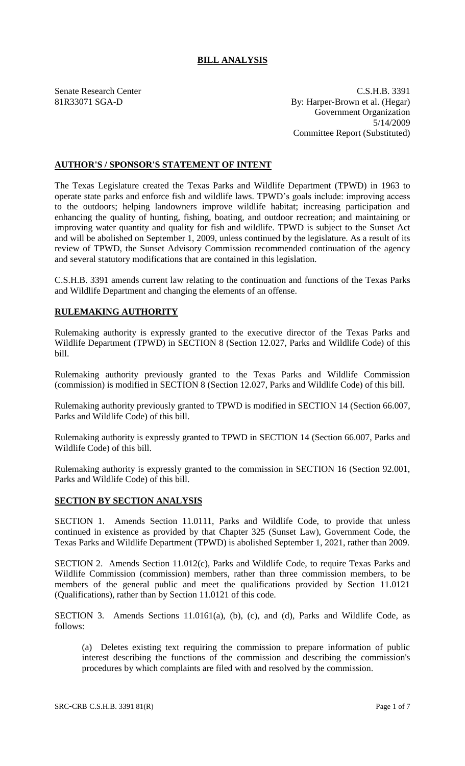# **BILL ANALYSIS**

Senate Research Center C.S.H.B. 3391 81R33071 SGA-D By: Harper-Brown et al. (Hegar) Government Organization 5/14/2009 Committee Report (Substituted)

# **AUTHOR'S / SPONSOR'S STATEMENT OF INTENT**

The Texas Legislature created the Texas Parks and Wildlife Department (TPWD) in 1963 to operate state parks and enforce fish and wildlife laws. TPWD's goals include: improving access to the outdoors; helping landowners improve wildlife habitat; increasing participation and enhancing the quality of hunting, fishing, boating, and outdoor recreation; and maintaining or improving water quantity and quality for fish and wildlife. TPWD is subject to the Sunset Act and will be abolished on September 1, 2009, unless continued by the legislature. As a result of its review of TPWD, the Sunset Advisory Commission recommended continuation of the agency and several statutory modifications that are contained in this legislation.

C.S.H.B. 3391 amends current law relating to the continuation and functions of the Texas Parks and Wildlife Department and changing the elements of an offense.

# **RULEMAKING AUTHORITY**

Rulemaking authority is expressly granted to the executive director of the Texas Parks and Wildlife Department (TPWD) in SECTION 8 (Section 12.027, Parks and Wildlife Code) of this bill.

Rulemaking authority previously granted to the Texas Parks and Wildlife Commission (commission) is modified in SECTION 8 (Section 12.027, Parks and Wildlife Code) of this bill.

Rulemaking authority previously granted to TPWD is modified in SECTION 14 (Section 66.007, Parks and Wildlife Code) of this bill.

Rulemaking authority is expressly granted to TPWD in SECTION 14 (Section 66.007, Parks and Wildlife Code) of this bill.

Rulemaking authority is expressly granted to the commission in SECTION 16 (Section 92.001, Parks and Wildlife Code) of this bill.

#### **SECTION BY SECTION ANALYSIS**

SECTION 1. Amends Section 11.0111, Parks and Wildlife Code, to provide that unless continued in existence as provided by that Chapter 325 (Sunset Law), Government Code, the Texas Parks and Wildlife Department (TPWD) is abolished September 1, 2021, rather than 2009.

SECTION 2. Amends Section 11.012(c), Parks and Wildlife Code, to require Texas Parks and Wildlife Commission (commission) members, rather than three commission members, to be members of the general public and meet the qualifications provided by Section 11.0121 (Qualifications), rather than by Section 11.0121 of this code.

SECTION 3. Amends Sections 11.0161(a), (b), (c), and (d), Parks and Wildlife Code, as follows:

(a) Deletes existing text requiring the commission to prepare information of public interest describing the functions of the commission and describing the commission's procedures by which complaints are filed with and resolved by the commission.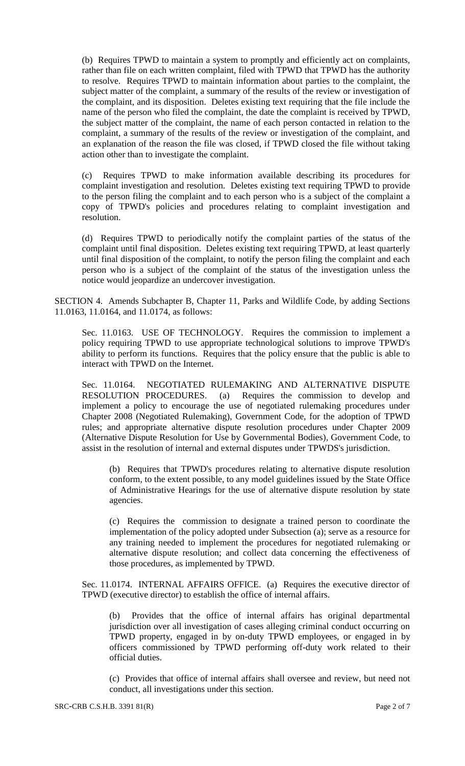(b) Requires TPWD to maintain a system to promptly and efficiently act on complaints, rather than file on each written complaint, filed with TPWD that TPWD has the authority to resolve. Requires TPWD to maintain information about parties to the complaint, the subject matter of the complaint, a summary of the results of the review or investigation of the complaint, and its disposition. Deletes existing text requiring that the file include the name of the person who filed the complaint, the date the complaint is received by TPWD, the subject matter of the complaint, the name of each person contacted in relation to the complaint, a summary of the results of the review or investigation of the complaint, and an explanation of the reason the file was closed, if TPWD closed the file without taking action other than to investigate the complaint.

(c) Requires TPWD to make information available describing its procedures for complaint investigation and resolution. Deletes existing text requiring TPWD to provide to the person filing the complaint and to each person who is a subject of the complaint a copy of TPWD's policies and procedures relating to complaint investigation and resolution.

(d) Requires TPWD to periodically notify the complaint parties of the status of the complaint until final disposition. Deletes existing text requiring TPWD, at least quarterly until final disposition of the complaint, to notify the person filing the complaint and each person who is a subject of the complaint of the status of the investigation unless the notice would jeopardize an undercover investigation.

SECTION 4. Amends Subchapter B, Chapter 11, Parks and Wildlife Code, by adding Sections 11.0163, 11.0164, and 11.0174, as follows:

Sec. 11.0163. USE OF TECHNOLOGY. Requires the commission to implement a policy requiring TPWD to use appropriate technological solutions to improve TPWD's ability to perform its functions. Requires that the policy ensure that the public is able to interact with TPWD on the Internet.

Sec. 11.0164. NEGOTIATED RULEMAKING AND ALTERNATIVE DISPUTE<br>RESOLUTION PROCEDURES. (a) Requires the commission to develop and Requires the commission to develop and implement a policy to encourage the use of negotiated rulemaking procedures under Chapter 2008 (Negotiated Rulemaking), Government Code, for the adoption of TPWD rules; and appropriate alternative dispute resolution procedures under Chapter 2009 (Alternative Dispute Resolution for Use by Governmental Bodies), Government Code, to assist in the resolution of internal and external disputes under TPWDS's jurisdiction.

(b) Requires that TPWD's procedures relating to alternative dispute resolution conform, to the extent possible, to any model guidelines issued by the State Office of Administrative Hearings for the use of alternative dispute resolution by state agencies.

(c) Requires the commission to designate a trained person to coordinate the implementation of the policy adopted under Subsection (a); serve as a resource for any training needed to implement the procedures for negotiated rulemaking or alternative dispute resolution; and collect data concerning the effectiveness of those procedures, as implemented by TPWD.

Sec. 11.0174. INTERNAL AFFAIRS OFFICE. (a) Requires the executive director of TPWD (executive director) to establish the office of internal affairs.

(b) Provides that the office of internal affairs has original departmental jurisdiction over all investigation of cases alleging criminal conduct occurring on TPWD property, engaged in by on-duty TPWD employees, or engaged in by officers commissioned by TPWD performing off-duty work related to their official duties.

(c) Provides that office of internal affairs shall oversee and review, but need not conduct, all investigations under this section.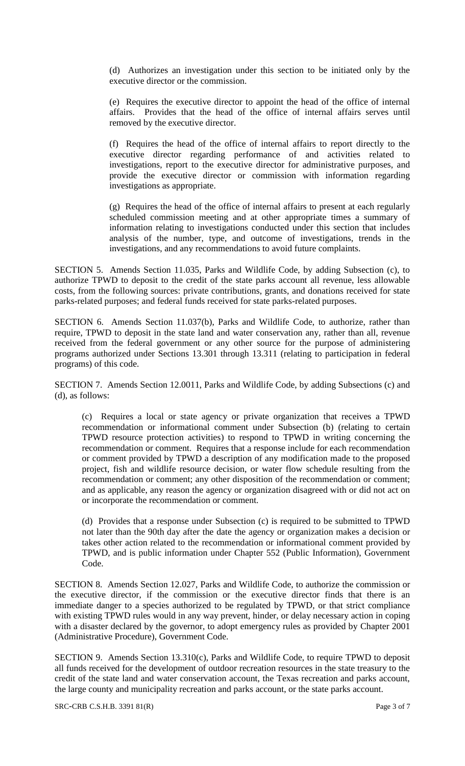(d) Authorizes an investigation under this section to be initiated only by the executive director or the commission.

(e) Requires the executive director to appoint the head of the office of internal affairs. Provides that the head of the office of internal affairs serves until removed by the executive director.

(f) Requires the head of the office of internal affairs to report directly to the executive director regarding performance of and activities related to investigations, report to the executive director for administrative purposes, and provide the executive director or commission with information regarding investigations as appropriate.

(g) Requires the head of the office of internal affairs to present at each regularly scheduled commission meeting and at other appropriate times a summary of information relating to investigations conducted under this section that includes analysis of the number, type, and outcome of investigations, trends in the investigations, and any recommendations to avoid future complaints.

SECTION 5. Amends Section 11.035, Parks and Wildlife Code, by adding Subsection (c), to authorize TPWD to deposit to the credit of the state parks account all revenue, less allowable costs, from the following sources: private contributions, grants, and donations received for state parks-related purposes; and federal funds received for state parks-related purposes.

SECTION 6. Amends Section 11.037(b), Parks and Wildlife Code, to authorize, rather than require, TPWD to deposit in the state land and water conservation any, rather than all, revenue received from the federal government or any other source for the purpose of administering programs authorized under Sections 13.301 through 13.311 (relating to participation in federal programs) of this code.

SECTION 7. Amends Section 12.0011, Parks and Wildlife Code, by adding Subsections (c) and (d), as follows:

(c) Requires a local or state agency or private organization that receives a TPWD recommendation or informational comment under Subsection (b) (relating to certain TPWD resource protection activities) to respond to TPWD in writing concerning the recommendation or comment. Requires that a response include for each recommendation or comment provided by TPWD a description of any modification made to the proposed project, fish and wildlife resource decision, or water flow schedule resulting from the recommendation or comment; any other disposition of the recommendation or comment; and as applicable, any reason the agency or organization disagreed with or did not act on or incorporate the recommendation or comment.

(d) Provides that a response under Subsection (c) is required to be submitted to TPWD not later than the 90th day after the date the agency or organization makes a decision or takes other action related to the recommendation or informational comment provided by TPWD, and is public information under Chapter 552 (Public Information), Government Code.

SECTION 8. Amends Section 12.027, Parks and Wildlife Code, to authorize the commission or the executive director, if the commission or the executive director finds that there is an immediate danger to a species authorized to be regulated by TPWD, or that strict compliance with existing TPWD rules would in any way prevent, hinder, or delay necessary action in coping with a disaster declared by the governor, to adopt emergency rules as provided by Chapter 2001 (Administrative Procedure), Government Code.

SECTION 9. Amends Section 13.310(c), Parks and Wildlife Code, to require TPWD to deposit all funds received for the development of outdoor recreation resources in the state treasury to the credit of the state land and water conservation account, the Texas recreation and parks account, the large county and municipality recreation and parks account, or the state parks account.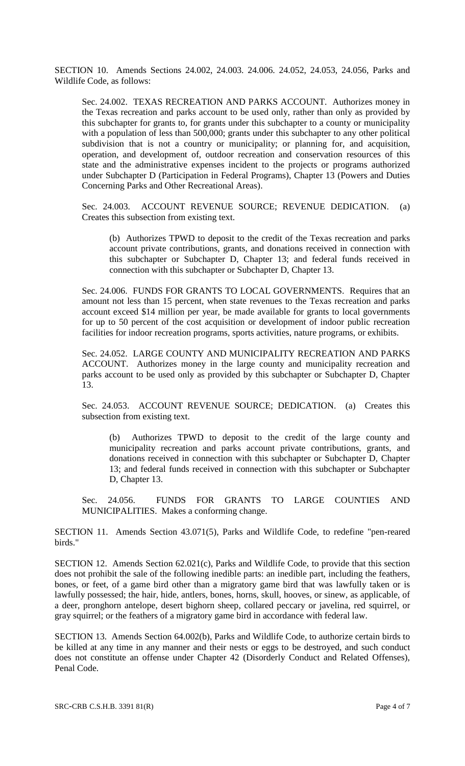SECTION 10. Amends Sections 24.002, 24.003. 24.006. 24.052, 24.053, 24.056, Parks and Wildlife Code, as follows:

Sec. 24.002. TEXAS RECREATION AND PARKS ACCOUNT. Authorizes money in the Texas recreation and parks account to be used only, rather than only as provided by this subchapter for grants to, for grants under this subchapter to a county or municipality with a population of less than 500,000; grants under this subchapter to any other political subdivision that is not a country or municipality; or planning for, and acquisition, operation, and development of, outdoor recreation and conservation resources of this state and the administrative expenses incident to the projects or programs authorized under Subchapter D (Participation in Federal Programs), Chapter 13 (Powers and Duties Concerning Parks and Other Recreational Areas).

Sec. 24.003. ACCOUNT REVENUE SOURCE; REVENUE DEDICATION. (a) Creates this subsection from existing text.

(b) Authorizes TPWD to deposit to the credit of the Texas recreation and parks account private contributions, grants, and donations received in connection with this subchapter or Subchapter D, Chapter 13; and federal funds received in connection with this subchapter or Subchapter D, Chapter 13.

Sec. 24.006. FUNDS FOR GRANTS TO LOCAL GOVERNMENTS. Requires that an amount not less than 15 percent, when state revenues to the Texas recreation and parks account exceed \$14 million per year, be made available for grants to local governments for up to 50 percent of the cost acquisition or development of indoor public recreation facilities for indoor recreation programs, sports activities, nature programs, or exhibits.

Sec. 24.052. LARGE COUNTY AND MUNICIPALITY RECREATION AND PARKS ACCOUNT. Authorizes money in the large county and municipality recreation and parks account to be used only as provided by this subchapter or Subchapter D, Chapter 13.

Sec. 24.053. ACCOUNT REVENUE SOURCE; DEDICATION. (a) Creates this subsection from existing text.

(b) Authorizes TPWD to deposit to the credit of the large county and municipality recreation and parks account private contributions, grants, and donations received in connection with this subchapter or Subchapter D, Chapter 13; and federal funds received in connection with this subchapter or Subchapter D, Chapter 13.

Sec. 24.056. FUNDS FOR GRANTS TO LARGE COUNTIES AND MUNICIPALITIES. Makes a conforming change.

SECTION 11. Amends Section 43.071(5), Parks and Wildlife Code, to redefine "pen-reared birds."

SECTION 12. Amends Section 62.021(c), Parks and Wildlife Code, to provide that this section does not prohibit the sale of the following inedible parts: an inedible part, including the feathers, bones, or feet, of a game bird other than a migratory game bird that was lawfully taken or is lawfully possessed; the hair, hide, antlers, bones, horns, skull, hooves, or sinew, as applicable, of a deer, pronghorn antelope, desert bighorn sheep, collared peccary or javelina, red squirrel, or gray squirrel; or the feathers of a migratory game bird in accordance with federal law.

SECTION 13. Amends Section 64.002(b), Parks and Wildlife Code, to authorize certain birds to be killed at any time in any manner and their nests or eggs to be destroyed, and such conduct does not constitute an offense under Chapter 42 (Disorderly Conduct and Related Offenses), Penal Code.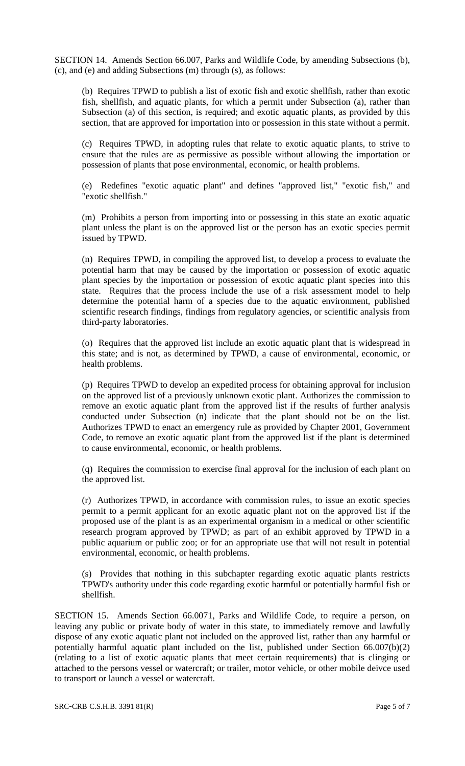SECTION 14. Amends Section 66.007, Parks and Wildlife Code, by amending Subsections (b), (c), and (e) and adding Subsections (m) through (s), as follows:

(b) Requires TPWD to publish a list of exotic fish and exotic shellfish, rather than exotic fish, shellfish, and aquatic plants, for which a permit under Subsection (a), rather than Subsection (a) of this section, is required; and exotic aquatic plants, as provided by this section, that are approved for importation into or possession in this state without a permit.

(c) Requires TPWD, in adopting rules that relate to exotic aquatic plants, to strive to ensure that the rules are as permissive as possible without allowing the importation or possession of plants that pose environmental, economic, or health problems.

(e) Redefines "exotic aquatic plant" and defines "approved list," "exotic fish," and "exotic shellfish."

(m) Prohibits a person from importing into or possessing in this state an exotic aquatic plant unless the plant is on the approved list or the person has an exotic species permit issued by TPWD.

(n) Requires TPWD, in compiling the approved list, to develop a process to evaluate the potential harm that may be caused by the importation or possession of exotic aquatic plant species by the importation or possession of exotic aquatic plant species into this state. Requires that the process include the use of a risk assessment model to help determine the potential harm of a species due to the aquatic environment, published scientific research findings, findings from regulatory agencies, or scientific analysis from third-party laboratories.

(o) Requires that the approved list include an exotic aquatic plant that is widespread in this state; and is not, as determined by TPWD, a cause of environmental, economic, or health problems.

(p) Requires TPWD to develop an expedited process for obtaining approval for inclusion on the approved list of a previously unknown exotic plant. Authorizes the commission to remove an exotic aquatic plant from the approved list if the results of further analysis conducted under Subsection (n) indicate that the plant should not be on the list. Authorizes TPWD to enact an emergency rule as provided by Chapter 2001, Government Code, to remove an exotic aquatic plant from the approved list if the plant is determined to cause environmental, economic, or health problems.

(q) Requires the commission to exercise final approval for the inclusion of each plant on the approved list.

(r) Authorizes TPWD, in accordance with commission rules, to issue an exotic species permit to a permit applicant for an exotic aquatic plant not on the approved list if the proposed use of the plant is as an experimental organism in a medical or other scientific research program approved by TPWD; as part of an exhibit approved by TPWD in a public aquarium or public zoo; or for an appropriate use that will not result in potential environmental, economic, or health problems.

(s) Provides that nothing in this subchapter regarding exotic aquatic plants restricts TPWD's authority under this code regarding exotic harmful or potentially harmful fish or shellfish.

SECTION 15. Amends Section 66.0071, Parks and Wildlife Code, to require a person, on leaving any public or private body of water in this state, to immediately remove and lawfully dispose of any exotic aquatic plant not included on the approved list, rather than any harmful or potentially harmful aquatic plant included on the list, published under Section 66.007(b)(2) (relating to a list of exotic aquatic plants that meet certain requirements) that is clinging or attached to the persons vessel or watercraft; or trailer, motor vehicle, or other mobile deivce used to transport or launch a vessel or watercraft.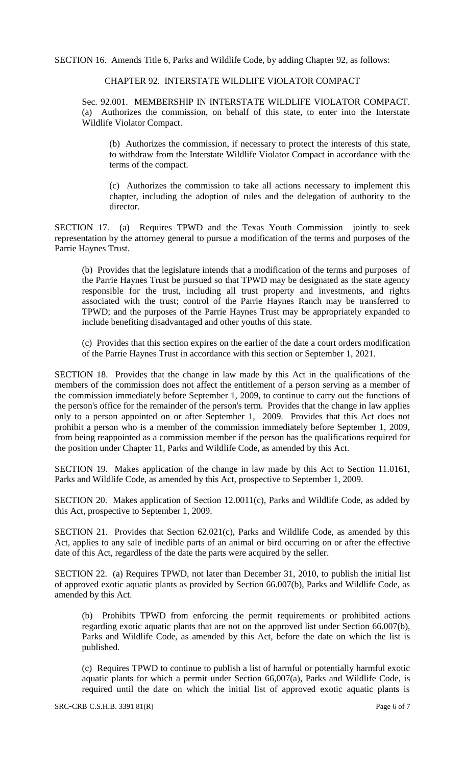SECTION 16. Amends Title 6, Parks and Wildlife Code, by adding Chapter 92, as follows:

#### CHAPTER 92. INTERSTATE WILDLIFE VIOLATOR COMPACT

Sec. 92.001. MEMBERSHIP IN INTERSTATE WILDLIFE VIOLATOR COMPACT. (a) Authorizes the commission, on behalf of this state, to enter into the Interstate Wildlife Violator Compact.

(b) Authorizes the commission, if necessary to protect the interests of this state, to withdraw from the Interstate Wildlife Violator Compact in accordance with the terms of the compact.

(c) Authorizes the commission to take all actions necessary to implement this chapter, including the adoption of rules and the delegation of authority to the director.

SECTION 17. (a) Requires TPWD and the Texas Youth Commission jointly to seek representation by the attorney general to pursue a modification of the terms and purposes of the Parrie Haynes Trust.

(b) Provides that the legislature intends that a modification of the terms and purposes of the Parrie Haynes Trust be pursued so that TPWD may be designated as the state agency responsible for the trust, including all trust property and investments, and rights associated with the trust; control of the Parrie Haynes Ranch may be transferred to TPWD; and the purposes of the Parrie Haynes Trust may be appropriately expanded to include benefiting disadvantaged and other youths of this state.

(c) Provides that this section expires on the earlier of the date a court orders modification of the Parrie Haynes Trust in accordance with this section or September 1, 2021.

SECTION 18. Provides that the change in law made by this Act in the qualifications of the members of the commission does not affect the entitlement of a person serving as a member of the commission immediately before September 1, 2009, to continue to carry out the functions of the person's office for the remainder of the person's term. Provides that the change in law applies only to a person appointed on or after September 1, 2009. Provides that this Act does not prohibit a person who is a member of the commission immediately before September 1, 2009, from being reappointed as a commission member if the person has the qualifications required for the position under Chapter 11, Parks and Wildlife Code, as amended by this Act.

SECTION 19. Makes application of the change in law made by this Act to Section 11.0161, Parks and Wildlife Code, as amended by this Act, prospective to September 1, 2009.

SECTION 20. Makes application of Section 12.0011(c), Parks and Wildlife Code, as added by this Act, prospective to September 1, 2009.

SECTION 21. Provides that Section 62.021(c), Parks and Wildlife Code, as amended by this Act, applies to any sale of inedible parts of an animal or bird occurring on or after the effective date of this Act, regardless of the date the parts were acquired by the seller.

SECTION 22. (a) Requires TPWD, not later than December 31, 2010, to publish the initial list of approved exotic aquatic plants as provided by Section 66.007(b), Parks and Wildlife Code, as amended by this Act.

(b) Prohibits TPWD from enforcing the permit requirements or prohibited actions regarding exotic aquatic plants that are not on the approved list under Section 66.007(b), Parks and Wildlife Code, as amended by this Act, before the date on which the list is published.

(c) Requires TPWD to continue to publish a list of harmful or potentially harmful exotic aquatic plants for which a permit under Section 66,007(a), Parks and Wildlife Code, is required until the date on which the initial list of approved exotic aquatic plants is